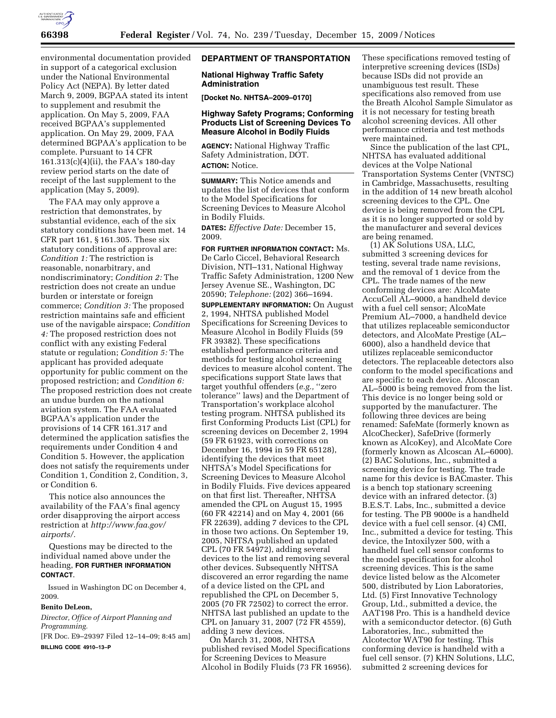

environmental documentation provided in support of a categorical exclusion under the National Environmental Policy Act (NEPA). By letter dated March 9, 2009, BGPAA stated its intent to supplement and resubmit the application. On May 5, 2009, FAA received BGPAA's supplemented application. On May 29, 2009, FAA determined BGPAA's application to be complete. Pursuant to 14 CFR 161.313(c)(4)(ii), the FAA's 180-day review period starts on the date of receipt of the last supplement to the application (May 5, 2009).

The FAA may only approve a restriction that demonstrates, by substantial evidence, each of the six statutory conditions have been met. 14 CFR part 161, § 161.305. These six statutory conditions of approval are: *Condition 1:* The restriction is reasonable, nonarbitrary, and nondiscriminatory; *Condition 2:* The restriction does not create an undue burden or interstate or foreign commerce; *Condition 3:* The proposed restriction maintains safe and efficient use of the navigable airspace; *Condition 4:* The proposed restriction does not conflict with any existing Federal statute or regulation; *Condition 5:* The applicant has provided adequate opportunity for public comment on the proposed restriction; and *Condition 6:*  The proposed restriction does not create an undue burden on the national aviation system. The FAA evaluated BGPAA's application under the provisions of 14 CFR 161.317 and determined the application satisfies the requirements under Condition 4 and Condition 5. However, the application does not satisfy the requirements under Condition 1, Condition 2, Condition, 3, or Condition 6.

This notice also announces the availability of the FAA's final agency order disapproving the airport access restriction at *http://www.faa.gov/ airports/.* 

Questions may be directed to the individual named above under the heading, **FOR FURTHER INFORMATION CONTACT**.

Issued in Washington DC on December 4, 2009.

### **Benito DeLeon,**

*Director, Office of Airport Planning and Programming.* 

[FR Doc. E9–29397 Filed 12–14–09; 8:45 am] **BILLING CODE 4910–13–P** 

### **DEPARTMENT OF TRANSPORTATION**

### **National Highway Traffic Safety Administration**

**[Docket No. NHTSA–2009–0170]** 

## **Highway Safety Programs; Conforming Products List of Screening Devices To Measure Alcohol in Bodily Fluids**

**AGENCY:** National Highway Traffic Safety Administration, DOT. **ACTION:** Notice.

**SUMMARY:** This Notice amends and updates the list of devices that conform to the Model Specifications for Screening Devices to Measure Alcohol in Bodily Fluids.

**DATES:** *Effective Date:* December 15, 2009.

**FOR FURTHER INFORMATION CONTACT:** Ms. De Carlo Ciccel, Behavioral Research Division, NTI–131, National Highway Traffic Safety Administration, 1200 New Jersey Avenue SE., Washington, DC 20590; *Telephone:* (202) 366–1694. **SUPPLEMENTARY INFORMATION:** On August 2, 1994, NHTSA published Model Specifications for Screening Devices to Measure Alcohol in Bodily Fluids (59 FR 39382). These specifications established performance criteria and methods for testing alcohol screening devices to measure alcohol content. The specifications support State laws that target youthful offenders (*e.g.,* ''zero tolerance'' laws) and the Department of Transportation's workplace alcohol testing program. NHTSA published its first Conforming Products List (CPL) for screening devices on December 2, 1994 (59 FR 61923, with corrections on December 16, 1994 in 59 FR 65128), identifying the devices that meet NHTSA's Model Specifications for Screening Devices to Measure Alcohol in Bodily Fluids. Five devices appeared on that first list. Thereafter, NHTSA amended the CPL on August 15, 1995 (60 FR 42214) and on May 4, 2001 (66 FR 22639), adding 7 devices to the CPL in those two actions. On September 19, 2005, NHTSA published an updated CPL (70 FR 54972), adding several devices to the list and removing several other devices. Subsequently NHTSA discovered an error regarding the name of a device listed on the CPL and republished the CPL on December 5, 2005 (70 FR 72502) to correct the error. NHTSA last published an update to the CPL on January 31, 2007 (72 FR 4559), adding 3 new devices.

On March 31, 2008, NHTSA published revised Model Specifications for Screening Devices to Measure Alcohol in Bodily Fluids (73 FR 16956). These specifications removed testing of interpretive screening devices (ISDs) because ISDs did not provide an unambiguous test result. These specifications also removed from use the Breath Alcohol Sample Simulator as it is not necessary for testing breath alcohol screening devices. All other performance criteria and test methods were maintained.

Since the publication of the last CPL, NHTSA has evaluated additional devices at the Volpe National Transportation Systems Center (VNTSC) in Cambridge, Massachusetts, resulting in the addition of 14 new breath alcohol screening devices to the CPL. One device is being removed from the CPL as it is no longer supported or sold by the manufacturer and several devices are being renamed.

(1) AK Solutions USA, LLC, submitted 3 screening devices for testing, several trade name revisions, and the removal of 1 device from the CPL. The trade names of the new conforming devices are: AlcoMate AccuCell AL–9000, a handheld device with a fuel cell sensor; AlcoMate Premium AL–7000, a handheld device that utilizes replaceable semiconductor detectors, and AlcoMate Prestige (AL– 6000), also a handheld device that utilizes replaceable semiconductor detectors. The replaceable detectors also conform to the model specifications and are specific to each device. Alcoscan AL–5000 is being removed from the list. This device is no longer being sold or supported by the manufacturer. The following three devices are being renamed: SafeMate (formerly known as AlcoChecker), SafeDrive (formerly known as AlcoKey), and AlcoMate Core (formerly known as Alcoscan AL–6000). (2) BAC Solutions, Inc., submitted a screening device for testing. The trade name for this device is BACmaster. This is a bench top stationary screening device with an infrared detector. (3) B.E.S.T. Labs, Inc., submitted a device for testing. The PB 9000e is a handheld device with a fuel cell sensor. (4) CMI, Inc., submitted a device for testing. This device, the Intoxilyzer 500, with a handheld fuel cell sensor conforms to the model specification for alcohol screening devices. This is the same device listed below as the Alcometer 500, distributed by Lion Laboratories, Ltd. (5) First Innovative Technology Group, Ltd., submitted a device, the AAT198 Pro. This is a handheld device with a semiconductor detector. (6) Guth Laboratories, Inc., submitted the Alcotector WAT90 for testing. This conforming device is handheld with a fuel cell sensor. (7) KHN Solutions, LLC, submitted 2 screening devices for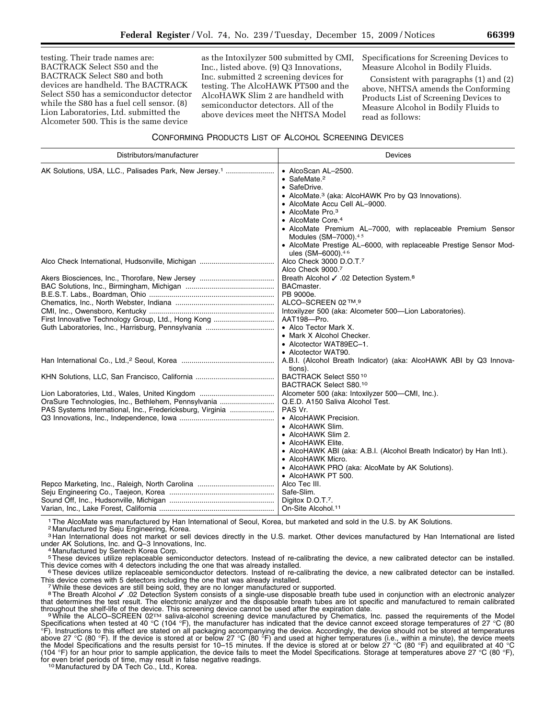testing. Their trade names are: BACTRACK Select S50 and the BACTRACK Select S80 and both devices are handheld. The BACTRACK Select S50 has a semiconductor detector while the S80 has a fuel cell sensor. (8) Lion Laboratories, Ltd. submitted the Alcometer 500. This is the same device

as the Intoxilyzer 500 submitted by CMI, Inc., listed above. (9) Q3 Innovations, Inc. submitted 2 screening devices for testing. The AlcoHAWK PT500 and the AlcoHAWK Slim 2 are handheld with semiconductor detectors. All of the above devices meet the NHTSA Model

Specifications for Screening Devices to Measure Alcohol in Bodily Fluids.

Consistent with paragraphs (1) and (2) above, NHTSA amends the Conforming Products List of Screening Devices to Measure Alcohol in Bodily Fluids to read as follows:

# CONFORMING PRODUCTS LIST OF ALCOHOL SCREENING DEVICES

| Distributors/manufacturer                                                                                        | Devices                                                                                                                                                                                                                                                                                                                                                                                                          |
|------------------------------------------------------------------------------------------------------------------|------------------------------------------------------------------------------------------------------------------------------------------------------------------------------------------------------------------------------------------------------------------------------------------------------------------------------------------------------------------------------------------------------------------|
| AK Solutions, USA, LLC., Palisades Park, New Jersey. <sup>1</sup>                                                | • AlcoScan AL-2500.<br>• SafeMate. $2$<br>• SafeDrive.<br>• AlcoMate. <sup>3</sup> (aka: AlcoHAWK Pro by Q3 Innovations).<br>• AlcoMate Accu Cell AL-9000.<br>• AlcoMate Pro. $3$<br>• AlcoMate Core. <sup>4</sup><br>• AlcoMate Premium AL-7000, with replaceable Premium Sensor<br>Modules (SM-7000).45<br>• AlcoMate Prestige AL-6000, with replaceable Prestige Sensor Mod-<br>ules (SM-6000). <sup>46</sup> |
|                                                                                                                  | Alco Check 3000 D.O.T. <sup>7</sup><br>Alco Check 9000.7                                                                                                                                                                                                                                                                                                                                                         |
| First Innovative Technology Group, Ltd., Hong Kong                                                               | Breath Alcohol √ .02 Detection System. <sup>8</sup><br>BACmaster.<br>PB 9000e.<br>ALCO-SCREEN 02 ™.9<br>Intoxilyzer 500 (aka: Alcometer 500-Lion Laboratories).<br>AAT198-Pro.<br>• Alco Tector Mark X.<br>• Mark X Alcohol Checker.<br>• Alcotector WAT89EC-1.                                                                                                                                                  |
|                                                                                                                  | • Alcotector WAT90.<br>A.B.I. (Alcohol Breath Indicator) (aka: AlcoHAWK ABI by Q3 Innova-<br>tions).                                                                                                                                                                                                                                                                                                             |
|                                                                                                                  | BACTRACK Select S5010<br>BACTRACK Select S80.10                                                                                                                                                                                                                                                                                                                                                                  |
| OraSure Technologies, Inc., Bethlehem, Pennsylvania<br>PAS Systems International, Inc., Fredericksburg, Virginia | Alcometer 500 (aka: Intoxilyzer 500-CMI, Inc.).<br>Q.E.D. A150 Saliva Alcohol Test.<br>PAS Vr.<br>• AlcoHAWK Precision.<br>• AlcoHAWK Slim.<br>• AlcoHAWK Slim 2.<br>• AlcoHAWK Elite.<br>• AlcoHAWK ABI (aka: A.B.I. (Alcohol Breath Indicator) by Han Intl.).<br>• AlcoHAWK Micro.<br>• AlcoHAWK PRO (aka: AlcoMate by AK Solutions).<br>• AlcoHAWK PT 500.                                                    |
|                                                                                                                  | Alco Tec III.<br>Safe-Slim.<br>Digitox D.O.T.7.<br>On-Site Alcohol. <sup>11</sup>                                                                                                                                                                                                                                                                                                                                |

1The AlcoMate was manufactured by Han International of Seoul, Korea, but marketed and sold in the U.S. by AK Solutions.

2 Manufactured by Seju Engineering, Korea.

<sup>3</sup> Han International does not market or sell devices directly in the U.S. market. Other devices manufactured by Han International are listed under AK Solutions, Inc. and Q–3 Innovations, Inc. 4 Manufactured by Sentech Korea Corp.

5 These devices utilize replaceable semiconductor detectors. Instead of re-calibrating the device, a new calibrated detector can be installed.<br>This device comes with 4 detectors including the one that was already installed

 $6$  These devices utilize replaceable semiconductor detectors. Instead of re-calibrating the device, a new calibrated detector can be installed. This device comes with 5 detectors including the one that was already installed. 7While these devices are still being sold, they are no longer manufactured or supported.

8The Breath Alcohol √ .02 Detection System consists of a single-use disposable breath tube used in conjunction with an electronic analyzer that determines the test result. The electronic analyzer and the disposable breath tubes are lot specific and manufactured to remain calibrated throughout the shelf-life of the device. This screening device cannot be used after the expiration date.<br>In a stream of the stream of the stream of the expiration date.<br>In the shelf-life of the device. This screening devi

Specifications when tested at 40 °C (104 °F), the manufacturer has indicated that the device cannot exceed storage temperatures of 27 °C (80 °F). Instructions to this effect are stated on all packaging accompanying the device. Accordingly, the device should not be stored at temperatures above 27 °C (80 °F). If the device is stored at or below 27 °C (80 °F) and used at higher temperatures (i.e., within a minute), the device meets the Model Specifications and the results persist for 10–15 minutes. If the device is stored at or below 27 °C (80 °F) and equilibrated at 40 °C (104 °F) for an hour prior to sample application, the device fails to meet the Model Specifications. Storage at temperatures above 27 °C (80 °F), for even brief periods of time, may result in false negative readings. 10 Manufactured by DA Tech Co., Ltd., Korea.